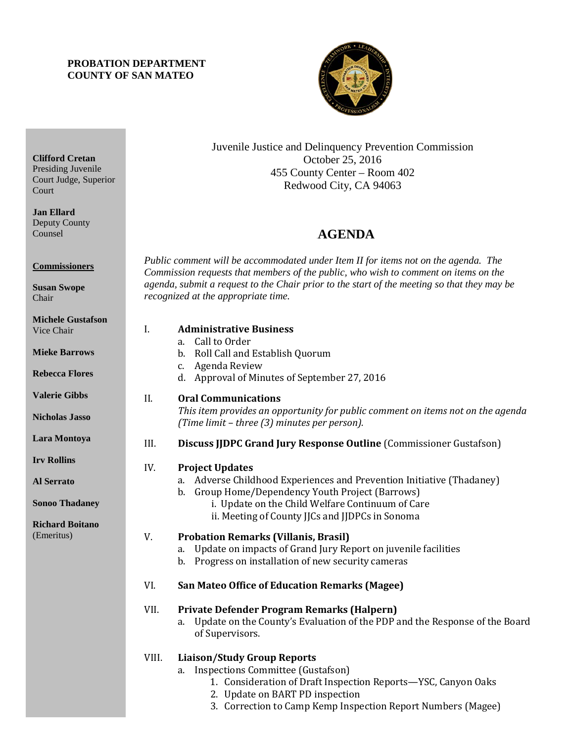## **PROBATION DEPARTMENT COUNTY OF SAN MATEO**



Juvenile Justice and Delinquency Prevention Commission October 25, 2016 455 County Center – Room 402 Redwood City, CA 94063

## 4B**AGENDA**

*Public comment will be accommodated under Item II for items not on the agenda. The Commission requests that members of the public, who wish to comment on items on the agenda, submit a request to the Chair prior to the start of the meeting so that they may be recognized at the appropriate time.* 

| іаіэош<br><b>WS</b><br>res | I.    | <b>Administrative Business</b><br>Call to Order<br>a.<br>Roll Call and Establish Quorum<br>b.<br>Agenda Review<br>c.<br>d. Approval of Minutes of September 27, 2016                                                                                          |
|----------------------------|-------|---------------------------------------------------------------------------------------------------------------------------------------------------------------------------------------------------------------------------------------------------------------|
| S<br>SO                    | II.   | <b>Oral Communications</b><br>This item provides an opportunity for public comment on items not on the agenda<br>(Time limit - three (3) minutes per person).                                                                                                 |
| ya                         | III.  | Discuss JJDPC Grand Jury Response Outline (Commissioner Gustafson)                                                                                                                                                                                            |
| aney<br>tano               | IV.   | <b>Project Updates</b><br>Adverse Childhood Experiences and Prevention Initiative (Thadaney)<br>a.<br>b. Group Home/Dependency Youth Project (Barrows)<br>i. Update on the Child Welfare Continuum of Care<br>ii. Meeting of County JJCs and JJDPCs in Sonoma |
|                            | V.    | <b>Probation Remarks (Villanis, Brasil)</b><br>Update on impacts of Grand Jury Report on juvenile facilities<br>a.<br>b. Progress on installation of new security cameras                                                                                     |
|                            | VI.   | <b>San Mateo Office of Education Remarks (Magee)</b>                                                                                                                                                                                                          |
|                            | VII.  | Private Defender Program Remarks (Halpern)<br>Update on the County's Evaluation of the PDP and the Response of the Board<br>a.<br>of Supervisors.                                                                                                             |
|                            | VIII. | <b>Liaison/Study Group Reports</b><br><b>Inspections Committee (Gustafson)</b><br>a.<br>1. Consideration of Draft Inspection Reports-YSC, Canyon Oaks<br>2. Update on BART PD inspection                                                                      |

3. Correction to Camp Kemp Inspection Report Numbers (Magee)

Presiding Juvenile Court Judge, Superior Court

**Clifford Cretan**

**Jan Ellard** Deputy County Counsel

**Commissioners**

**Susan Swope** Chair

| <b>Michele Gustafson</b> |  |
|--------------------------|--|
| Vice Chair               |  |
|                          |  |

**Mieke Barro** 

**Rebecca Flor** 

**Valerie Gibbs** 

**Nicholas Jass** 

Lara Montoy

**Irv Rollins** 

**Al Serrato**

**Sonoo Thada** 

**Richard Boit** (Emeritus)